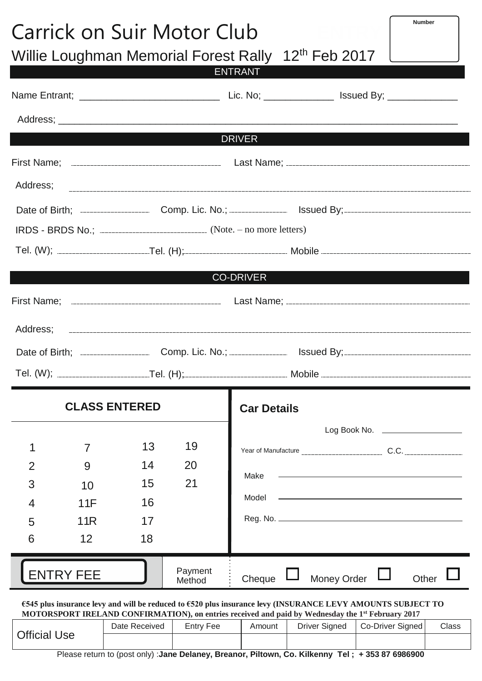| <b>Number</b><br>Carrick on Suir Motor Club<br>$12^{th}$ Feb 2017<br><b>Willie Loughman Memorial Forest Rally</b> |                  |                                                                                                                                 |                   |                                                                                                   |                                                                                                                                                                                                                               |  |  |  |
|-------------------------------------------------------------------------------------------------------------------|------------------|---------------------------------------------------------------------------------------------------------------------------------|-------------------|---------------------------------------------------------------------------------------------------|-------------------------------------------------------------------------------------------------------------------------------------------------------------------------------------------------------------------------------|--|--|--|
|                                                                                                                   |                  | $\mathcal{L}^{\text{max}}_{\text{max}}$ and $\mathcal{L}^{\text{max}}_{\text{max}}$ and $\mathcal{L}^{\text{max}}_{\text{max}}$ |                   | <b>ENTRANT</b>                                                                                    |                                                                                                                                                                                                                               |  |  |  |
|                                                                                                                   |                  |                                                                                                                                 |                   |                                                                                                   |                                                                                                                                                                                                                               |  |  |  |
|                                                                                                                   |                  |                                                                                                                                 |                   | <b>DRIVER</b>                                                                                     |                                                                                                                                                                                                                               |  |  |  |
|                                                                                                                   |                  |                                                                                                                                 |                   |                                                                                                   |                                                                                                                                                                                                                               |  |  |  |
|                                                                                                                   |                  |                                                                                                                                 |                   |                                                                                                   |                                                                                                                                                                                                                               |  |  |  |
|                                                                                                                   |                  |                                                                                                                                 |                   |                                                                                                   |                                                                                                                                                                                                                               |  |  |  |
|                                                                                                                   |                  |                                                                                                                                 |                   |                                                                                                   | Date of Birth; Comp. Lic. No.; Same Superior Sylvester State of Birth; Same Comp. Lic. No.; Same Superior State Sylvester State State Sylvester State State State State State State State State State State State State State |  |  |  |
|                                                                                                                   |                  |                                                                                                                                 |                   |                                                                                                   |                                                                                                                                                                                                                               |  |  |  |
|                                                                                                                   |                  |                                                                                                                                 |                   |                                                                                                   |                                                                                                                                                                                                                               |  |  |  |
|                                                                                                                   |                  |                                                                                                                                 |                   | <b>CO-DRIVER</b>                                                                                  |                                                                                                                                                                                                                               |  |  |  |
|                                                                                                                   |                  |                                                                                                                                 |                   |                                                                                                   |                                                                                                                                                                                                                               |  |  |  |
|                                                                                                                   |                  |                                                                                                                                 |                   |                                                                                                   |                                                                                                                                                                                                                               |  |  |  |
|                                                                                                                   |                  |                                                                                                                                 |                   |                                                                                                   | Date of Birth; Comp. Lic. No.; Same By; Essued By; Essued By; Essued By; Essued By;                                                                                                                                           |  |  |  |
|                                                                                                                   |                  |                                                                                                                                 |                   |                                                                                                   |                                                                                                                                                                                                                               |  |  |  |
|                                                                                                                   |                  | <b>CLASS ENTERED</b>                                                                                                            |                   | <b>Car Details</b>                                                                                |                                                                                                                                                                                                                               |  |  |  |
|                                                                                                                   |                  |                                                                                                                                 |                   |                                                                                                   |                                                                                                                                                                                                                               |  |  |  |
| 1                                                                                                                 | 7                | 13                                                                                                                              | 19                |                                                                                                   |                                                                                                                                                                                                                               |  |  |  |
| $\overline{2}$                                                                                                    | 9                | 14                                                                                                                              | 20                | Make                                                                                              | <u> 1989 - Johann Barn, amerikansk politiker (d. 1989)</u>                                                                                                                                                                    |  |  |  |
| 3<br>4                                                                                                            | 10<br>11F        | 15<br>16                                                                                                                        | 21                | Model                                                                                             | <u> 1989 - Andrea Barbara, amerikan personal dan personal dan personal dan personal dan personal dan personal dan</u>                                                                                                         |  |  |  |
| 5                                                                                                                 | 11R              | 17                                                                                                                              |                   |                                                                                                   |                                                                                                                                                                                                                               |  |  |  |
| 6                                                                                                                 | 12               | 18                                                                                                                              |                   |                                                                                                   |                                                                                                                                                                                                                               |  |  |  |
|                                                                                                                   | <b>ENTRY FEE</b> |                                                                                                                                 | Payment<br>Method | Cheque                                                                                            | Money Order<br>Other                                                                                                                                                                                                          |  |  |  |
|                                                                                                                   |                  |                                                                                                                                 |                   | MOTORSPORT IRELAND CONFIRMATION), on entries received and paid by Wednesday the 1st February 2017 | €545 plus insurance levy and will be reduced to €520 plus insurance levy (INSURANCE LEVY AMOUNTS SUBJECT TO                                                                                                                   |  |  |  |
| <b>Official Use</b>                                                                                               |                  | Date Received                                                                                                                   | <b>Entry Fee</b>  | <b>Driver Signed</b><br>Amount                                                                    | Co-Driver Signed<br>Class                                                                                                                                                                                                     |  |  |  |

٦

Please return to (post only) :**Jane Delaney, Breanor, Piltown, Co. Kilkenny Tel ; + 353 87 6986900**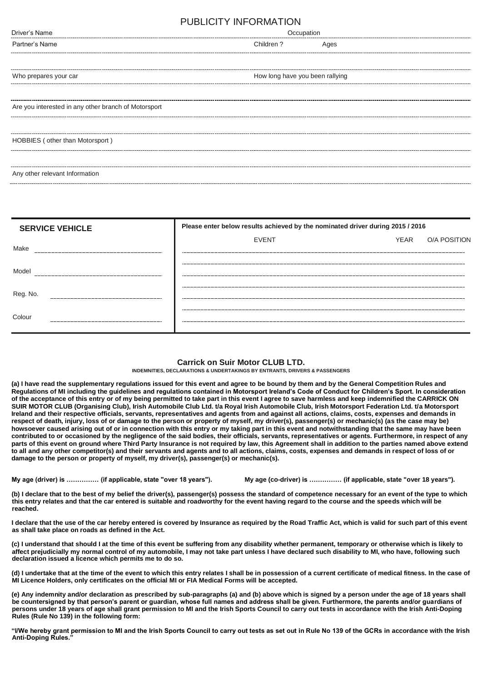# PUBLICITY INFORMATION

| TUDLIUITTI INI UNIIATIUN                             |           |                                 |  |  |  |  |
|------------------------------------------------------|-----------|---------------------------------|--|--|--|--|
| Driver's Name                                        |           | Occupation                      |  |  |  |  |
| Partner's Name                                       | Children? | Ages                            |  |  |  |  |
|                                                      |           |                                 |  |  |  |  |
| Who prepares your car                                |           | How long have you been rallying |  |  |  |  |
| Are you interested in any other branch of Motorsport |           |                                 |  |  |  |  |
| HOBBIES (other than Motorsport)                      |           |                                 |  |  |  |  |
|                                                      |           |                                 |  |  |  |  |
| Any other relevant Information                       |           |                                 |  |  |  |  |

|          | <b>SERVICE VEHICLE</b> | Please enter below results achieved by the nominated driver during 2015 / 2016 |      |                     |  |
|----------|------------------------|--------------------------------------------------------------------------------|------|---------------------|--|
| Make     |                        | <b>EVENT</b>                                                                   | YEAR | <b>O/A POSITION</b> |  |
| Model    |                        |                                                                                |      |                     |  |
| Reg. No. |                        |                                                                                |      |                     |  |
| Colour   |                        |                                                                                |      |                     |  |

### **Carrick on Suir Motor CLUB LTD.**

**INDEMNITIES, DECLARATIONS & UNDERTAKINGS BY ENTRANTS, DRIVERS & PASSENGERS**

**(a) I have read the supplementary regulations issued for this event and agree to be bound by them and by the General Competition Rules and Regulations of MI including the guidelines and regulations contained in Motorsport Ireland's Code of Conduct for Children's Sport. In consideration of the acceptance of this entry or of my being permitted to take part in this event I agree to save harmless and keep indemnified the CARRICK ON SUIR MOTOR CLUB (Organising Club), Irish Automobile Club Ltd. t/a Royal Irish Automobile Club, Irish Motorsport Federation Ltd. t/a Motorsport Ireland and their respective officials, servants, representatives and agents from and against all actions, claims, costs, expenses and demands in respect of death, injury, loss of or damage to the person or property of myself, my driver(s), passenger(s) or mechanic(s) (as the case may be) howsoever caused arising out of or in connection with this entry or my taking part in this event and notwithstanding that the same may have been contributed to or occasioned by the negligence of the said bodies, their officials, servants, representatives or agents. Furthermore, in respect of any parts of this event on ground where Third Party Insurance is not required by law, this Agreement shall in addition to the parties named above extend to all and any other competitor(s) and their servants and agents and to all actions, claims, costs, expenses and demands in respect of loss of or damage to the person or property of myself, my driver(s), passenger(s) or mechanic(s).** 

**My age (driver) is …………… (if applicable, state "over 18 years"). My age (co-driver) is …………… (if applicable, state "over 18 years").**

**(b) I declare that to the best of my belief the driver(s), passenger(s) possess the standard of competence necessary for an event of the type to which this entry relates and that the car entered is suitable and roadworthy for the event having regard to the course and the speeds which will be reached.** 

**I declare that the use of the car hereby entered is covered by Insurance as required by the Road Traffic Act, which is valid for such part of this event as shall take place on roads as defined in the Act.** 

**(c) I understand that should I at the time of this event be suffering from any disability whether permanent, temporary or otherwise which is likely to affect prejudicially my normal control of my automobile, I may not take part unless I have declared such disability to MI, who have, following such declaration issued a licence which permits me to do so.** 

**(d) I undertake that at the time of the event to which this entry relates I shall be in possession of a current certificate of medical fitness. In the case of MI Licence Holders, only certificates on the official MI or FIA Medical Forms will be accepted.** 

**(e) Any indemnity and/or declaration as prescribed by sub-paragraphs (a) and (b) above which is signed by a person under the age of 18 years shall be countersigned by that person's parent or guardian, whose full names and address shall be given. Furthermore, the parents and/or guardians of persons under 18 years of age shall grant permission to MI and the Irish Sports Council to carry out tests in accordance with the Irish Anti-Doping Rules (Rule No 139) in the following form:** 

"I/We hereby grant permission to MI and the Irish Sports Council to carry out tests as set out in Rule No 139 of the GCRs in accordance with the Irish **Anti-Doping Rules.**